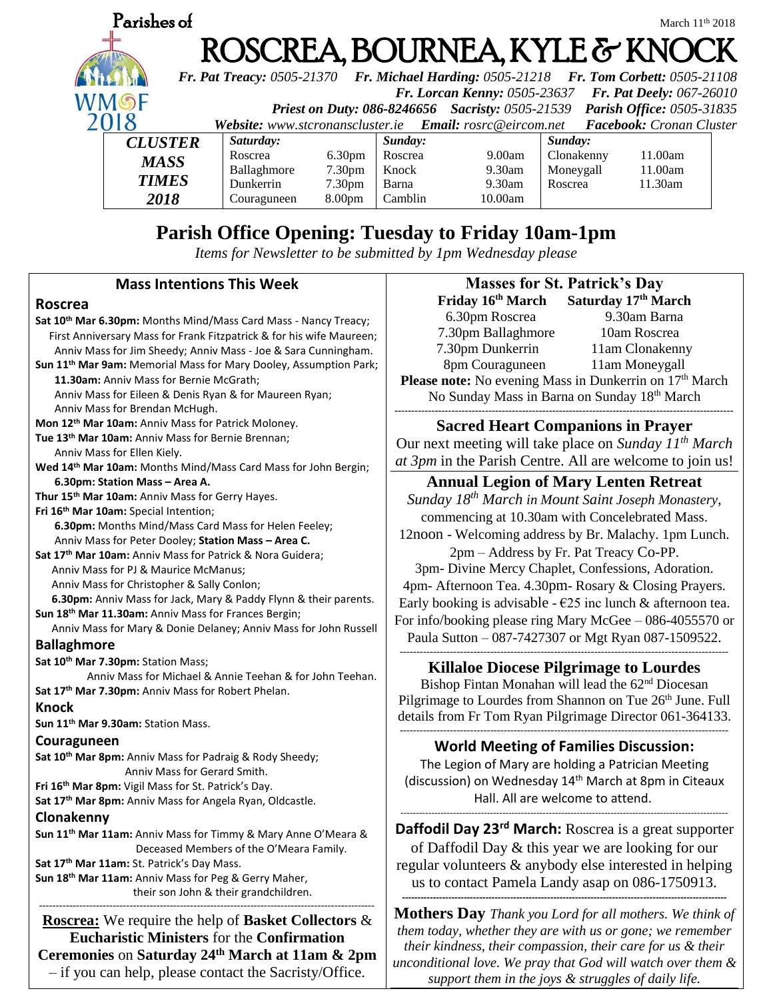

# **Parish Office Opening: Tuesday to Friday 10am-1pm**

*Items for Newsletter to be submitted by 1pm Wednesday please*

| <b>Mass Intentions This Week</b>                                              | <b>Masses for St. Patrick's Day</b>                                |
|-------------------------------------------------------------------------------|--------------------------------------------------------------------|
| <b>Roscrea</b>                                                                | Saturday 17th March<br>Friday 16 <sup>th</sup> March               |
| Sat 10th Mar 6.30pm: Months Mind/Mass Card Mass - Nancy Treacy;               | 9.30am Barna<br>6.30pm Roscrea                                     |
| First Anniversary Mass for Frank Fitzpatrick & for his wife Maureen;          | 7.30pm Ballaghmore<br>10am Roscrea                                 |
| Anniv Mass for Jim Sheedy; Anniv Mass - Joe & Sara Cunningham.                | 7.30pm Dunkerrin<br>11am Clonakenny                                |
| Sun 11 <sup>th</sup> Mar 9am: Memorial Mass for Mary Dooley, Assumption Park; | 8pm Couraguneen<br>11am Moneygall                                  |
| 11.30am: Anniv Mass for Bernie McGrath;                                       | Please note: No evening Mass in Dunkerrin on 17th March            |
| Anniv Mass for Eileen & Denis Ryan & for Maureen Ryan;                        | No Sunday Mass in Barna on Sunday 18th March                       |
| Anniv Mass for Brendan McHugh.                                                |                                                                    |
| Mon 12 <sup>th</sup> Mar 10am: Anniv Mass for Patrick Moloney.                | <b>Sacred Heart Companions in Prayer</b>                           |
| Tue 13 <sup>th</sup> Mar 10am: Anniv Mass for Bernie Brennan;                 | Our next meeting will take place on Sunday $11^{th}$ March         |
| Anniv Mass for Ellen Kiely.                                                   |                                                                    |
| Wed 14th Mar 10am: Months Mind/Mass Card Mass for John Bergin;                | at 3pm in the Parish Centre. All are welcome to join us!           |
| 6.30pm: Station Mass - Area A.                                                | <b>Annual Legion of Mary Lenten Retreat</b>                        |
| Thur 15th Mar 10am: Anniv Mass for Gerry Hayes.                               | Sunday 18 <sup>th</sup> March in Mount Saint Joseph Monastery,     |
| Fri 16th Mar 10am: Special Intention;                                         | commencing at 10.30am with Concelebrated Mass.                     |
| 6.30pm: Months Mind/Mass Card Mass for Helen Feeley;                          | 12noon - Welcoming address by Br. Malachy. 1pm Lunch.              |
| Anniv Mass for Peter Dooley; Station Mass - Area C.                           |                                                                    |
| Sat 17th Mar 10am: Anniv Mass for Patrick & Nora Guidera;                     | 2pm – Address by Fr. Pat Treacy Co-PP.                             |
| Anniv Mass for PJ & Maurice McManus;                                          | 3pm- Divine Mercy Chaplet, Confessions, Adoration.                 |
| Anniv Mass for Christopher & Sally Conlon;                                    | 4pm- Afternoon Tea. 4.30pm- Rosary & Closing Prayers.              |
| 6.30pm: Anniv Mass for Jack, Mary & Paddy Flynn & their parents.              | Early booking is advisable - $E25$ inc lunch & afternoon tea.      |
| Sun 18th Mar 11.30am: Anniv Mass for Frances Bergin;                          | For info/booking please ring Mary McGee - 086-4055570 or           |
| Anniv Mass for Mary & Donie Delaney; Anniv Mass for John Russell              | Paula Sutton - 087-7427307 or Mgt Ryan 087-1509522.                |
| <b>Ballaghmore</b>                                                            |                                                                    |
| Sat 10th Mar 7.30pm: Station Mass;                                            | <b>Killaloe Diocese Pilgrimage to Lourdes</b>                      |
| Anniv Mass for Michael & Annie Teehan & for John Teehan.                      | Bishop Fintan Monahan will lead the 62 <sup>nd</sup> Diocesan      |
| Sat 17th Mar 7.30pm: Anniv Mass for Robert Phelan.                            | Pilgrimage to Lourdes from Shannon on Tue 26th June. Full          |
| <b>Knock</b>                                                                  | details from Fr Tom Ryan Pilgrimage Director 061-364133.           |
| Sun 11 <sup>th</sup> Mar 9.30am: Station Mass.                                |                                                                    |
| Couraguneen                                                                   | <b>World Meeting of Families Discussion:</b>                       |
| Sat 10th Mar 8pm: Anniv Mass for Padraig & Rody Sheedy;                       | The Legion of Mary are holding a Patrician Meeting                 |
| Anniv Mass for Gerard Smith.                                                  | (discussion) on Wednesday 14 <sup>th</sup> March at 8pm in Citeaux |
| Fri 16th Mar 8pm: Vigil Mass for St. Patrick's Day.                           |                                                                    |
| Sat 17th Mar 8pm: Anniv Mass for Angela Ryan, Oldcastle.                      | Hall. All are welcome to attend.                                   |
| Clonakenny                                                                    |                                                                    |
| Sun 11 <sup>th</sup> Mar 11am: Anniv Mass for Timmy & Mary Anne O'Meara &     | Daffodil Day 23 <sup>rd</sup> March: Roscrea is a great supporter  |
| Deceased Members of the O'Meara Family.                                       | of Daffodil Day & this year we are looking for our                 |
| Sat 17th Mar 11am: St. Patrick's Day Mass.                                    | regular volunteers & anybody else interested in helping            |
| Sun 18 <sup>th</sup> Mar 11am: Anniv Mass for Peg & Gerry Maher,              | us to contact Pamela Landy asap on 086-1750913.                    |
| their son John & their grandchildren.                                         |                                                                    |
| Roscrea: We require the help of Basket Collectors &                           | <b>Mothers Day</b> Thank you Lord for all mothers. We think of     |
| <b>Eucharistic Ministers for the Confirmation</b>                             | them today, whether they are with us or gone; we remember          |
|                                                                               | their kindness, their compassion, their care for us & their        |
| Ceremonies on Saturday 24 <sup>th</sup> March at 11am & 2pm                   | and itional love We near that Cod will watch over them be          |

*unconditional love. We pray that God will watch over them & support them in the joys & struggles of daily life.*

– if you can help, please contact the Sacristy/Office.